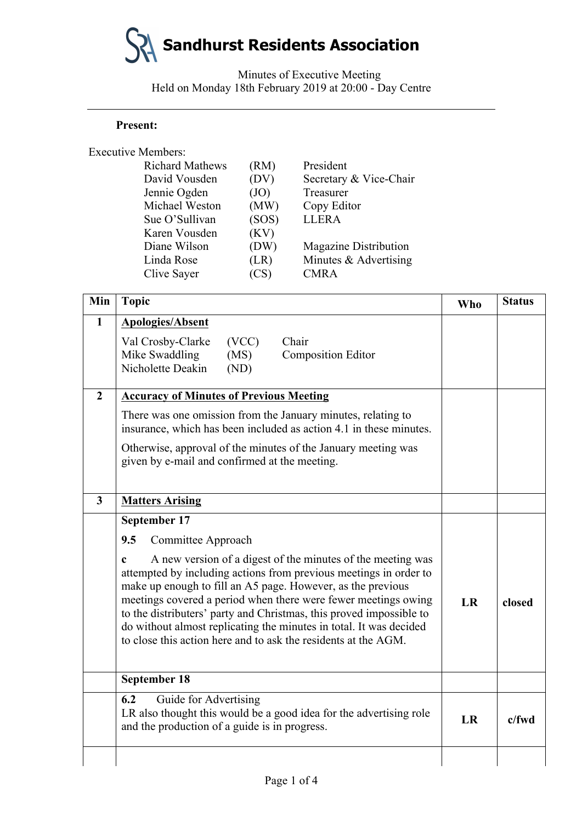# **Sandhurst Residents Association**

Minutes of Executive Meeting Held on Monday 18th February 2019 at 20:00 - Day Centre

#### **Present:**

| <b>Executive Members:</b> |       |                              |
|---------------------------|-------|------------------------------|
| <b>Richard Mathews</b>    | (RM)  | President                    |
| David Vousden             | (DV)  | Secretary & Vice-Chair       |
| Jennie Ogden              | (JO)  | Treasurer                    |
| Michael Weston            | (MW)  | Copy Editor                  |
| Sue O'Sullivan            | (SOS) | <b>LLERA</b>                 |
| Karen Vousden             | (KV)  |                              |
| Diane Wilson              | (DW)  | <b>Magazine Distribution</b> |
| Linda Rose                | (LR)  | Minutes & Advertising        |
| Clive Sayer               | CS)   | <b>CMRA</b>                  |
|                           |       |                              |

| Min            | <b>Topic</b>                                                                                                                                                                                                                                                                                                                                                                                                                                                                                    | <b>Who</b> | <b>Status</b> |
|----------------|-------------------------------------------------------------------------------------------------------------------------------------------------------------------------------------------------------------------------------------------------------------------------------------------------------------------------------------------------------------------------------------------------------------------------------------------------------------------------------------------------|------------|---------------|
| $\mathbf{1}$   | <b>Apologies/Absent</b>                                                                                                                                                                                                                                                                                                                                                                                                                                                                         |            |               |
|                | Val Crosby-Clarke<br>(VCC)<br>Chair<br>Mike Swaddling<br>(MS)<br><b>Composition Editor</b><br>Nicholette Deakin<br>(ND)                                                                                                                                                                                                                                                                                                                                                                         |            |               |
| $\overline{2}$ | <b>Accuracy of Minutes of Previous Meeting</b>                                                                                                                                                                                                                                                                                                                                                                                                                                                  |            |               |
|                | There was one omission from the January minutes, relating to<br>insurance, which has been included as action 4.1 in these minutes.                                                                                                                                                                                                                                                                                                                                                              |            |               |
|                | Otherwise, approval of the minutes of the January meeting was<br>given by e-mail and confirmed at the meeting.                                                                                                                                                                                                                                                                                                                                                                                  |            |               |
| $\mathbf{3}$   | <b>Matters Arising</b>                                                                                                                                                                                                                                                                                                                                                                                                                                                                          |            |               |
|                | September 17                                                                                                                                                                                                                                                                                                                                                                                                                                                                                    |            |               |
|                | Committee Approach<br>9.5                                                                                                                                                                                                                                                                                                                                                                                                                                                                       |            |               |
|                | A new version of a digest of the minutes of the meeting was<br>$\mathbf c$<br>attempted by including actions from previous meetings in order to<br>make up enough to fill an A5 page. However, as the previous<br>meetings covered a period when there were fewer meetings owing<br>to the distributers' party and Christmas, this proved impossible to<br>do without almost replicating the minutes in total. It was decided<br>to close this action here and to ask the residents at the AGM. |            | closed        |
|                | September 18                                                                                                                                                                                                                                                                                                                                                                                                                                                                                    |            |               |
|                | 6.2<br>Guide for Advertising<br>LR also thought this would be a good idea for the advertising role<br>and the production of a guide is in progress.                                                                                                                                                                                                                                                                                                                                             | LR         | $c$ /fwd      |
|                |                                                                                                                                                                                                                                                                                                                                                                                                                                                                                                 |            |               |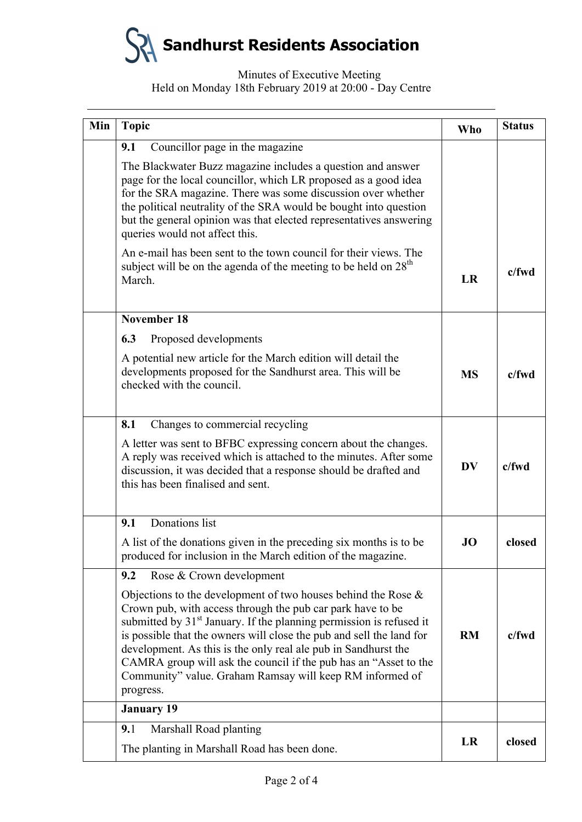**Sandhurst Residents Association**

# Minutes of Executive Meeting Held on Monday 18th February 2019 at 20:00 - Day Centre

| Min | <b>Topic</b>                                                                                                                                                                                                                                                                                                                                                                                                                                                                                             | <b>Who</b> | <b>Status</b> |
|-----|----------------------------------------------------------------------------------------------------------------------------------------------------------------------------------------------------------------------------------------------------------------------------------------------------------------------------------------------------------------------------------------------------------------------------------------------------------------------------------------------------------|------------|---------------|
|     | Councillor page in the magazine<br>9.1                                                                                                                                                                                                                                                                                                                                                                                                                                                                   |            |               |
|     | The Blackwater Buzz magazine includes a question and answer<br>page for the local councillor, which LR proposed as a good idea<br>for the SRA magazine. There was some discussion over whether<br>the political neutrality of the SRA would be bought into question<br>but the general opinion was that elected representatives answering<br>queries would not affect this.                                                                                                                              |            |               |
|     | An e-mail has been sent to the town council for their views. The<br>subject will be on the agenda of the meeting to be held on 28 <sup>th</sup><br>March.                                                                                                                                                                                                                                                                                                                                                | LR         | $c$ /fwd      |
|     | <b>November 18</b>                                                                                                                                                                                                                                                                                                                                                                                                                                                                                       |            |               |
|     | 6.3<br>Proposed developments                                                                                                                                                                                                                                                                                                                                                                                                                                                                             |            |               |
|     | A potential new article for the March edition will detail the<br>developments proposed for the Sandhurst area. This will be<br>checked with the council.                                                                                                                                                                                                                                                                                                                                                 | <b>MS</b>  | $c$ /fwd      |
|     | Changes to commercial recycling<br>8.1                                                                                                                                                                                                                                                                                                                                                                                                                                                                   |            |               |
|     | A letter was sent to BFBC expressing concern about the changes.<br>A reply was received which is attached to the minutes. After some<br>discussion, it was decided that a response should be drafted and<br>this has been finalised and sent.                                                                                                                                                                                                                                                            | <b>DV</b>  | c/fwd         |
|     | Donations list<br>9.1                                                                                                                                                                                                                                                                                                                                                                                                                                                                                    |            |               |
|     | A list of the donations given in the preceding six months is to be<br>produced for inclusion in the March edition of the magazine.                                                                                                                                                                                                                                                                                                                                                                       | JO         | closed        |
|     | Rose & Crown development<br>9.2                                                                                                                                                                                                                                                                                                                                                                                                                                                                          |            |               |
|     | Objections to the development of two houses behind the Rose $\&$<br>Crown pub, with access through the pub car park have to be<br>submitted by 31 <sup>st</sup> January. If the planning permission is refused it<br>is possible that the owners will close the pub and sell the land for<br>development. As this is the only real ale pub in Sandhurst the<br>CAMRA group will ask the council if the pub has an "Asset to the<br>Community" value. Graham Ramsay will keep RM informed of<br>progress. | <b>RM</b>  | $c$ /fwd      |
|     | <b>January 19</b>                                                                                                                                                                                                                                                                                                                                                                                                                                                                                        |            |               |
|     | Marshall Road planting<br>9.1                                                                                                                                                                                                                                                                                                                                                                                                                                                                            |            |               |
|     | The planting in Marshall Road has been done.                                                                                                                                                                                                                                                                                                                                                                                                                                                             | LR         | closed        |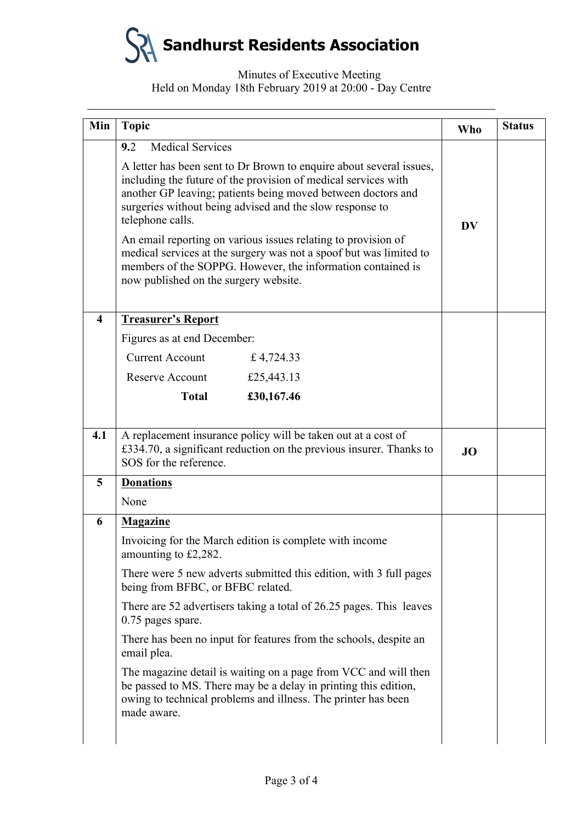

## Minutes of Executive Meeting Held on Monday 18th February 2019 at 20:00 - Day Centre

| Min                     | <b>Topic</b>                                                                                                                                                                                                                                                                          | <b>Who</b> | <b>Status</b> |
|-------------------------|---------------------------------------------------------------------------------------------------------------------------------------------------------------------------------------------------------------------------------------------------------------------------------------|------------|---------------|
|                         | <b>Medical Services</b><br>9.2                                                                                                                                                                                                                                                        |            |               |
|                         | A letter has been sent to Dr Brown to enquire about several issues,<br>including the future of the provision of medical services with<br>another GP leaving; patients being moved between doctors and<br>surgeries without being advised and the slow response to<br>telephone calls. |            |               |
|                         | An email reporting on various issues relating to provision of<br>medical services at the surgery was not a spoof but was limited to<br>members of the SOPPG. However, the information contained is<br>now published on the surgery website.                                           |            |               |
| $\overline{\mathbf{4}}$ | <b>Treasurer's Report</b>                                                                                                                                                                                                                                                             |            |               |
|                         | Figures as at end December:                                                                                                                                                                                                                                                           |            |               |
|                         | <b>Current Account</b><br>£4,724.33                                                                                                                                                                                                                                                   |            |               |
|                         | Reserve Account<br>£25,443.13                                                                                                                                                                                                                                                         |            |               |
|                         | <b>Total</b><br>£30,167.46                                                                                                                                                                                                                                                            |            |               |
| 4.1                     | A replacement insurance policy will be taken out at a cost of<br>£334.70, a significant reduction on the previous insurer. Thanks to<br>SOS for the reference.                                                                                                                        | <b>JO</b>  |               |
| 5                       | <b>Donations</b>                                                                                                                                                                                                                                                                      |            |               |
|                         | None                                                                                                                                                                                                                                                                                  |            |               |
| 6                       | <b>Magazine</b>                                                                                                                                                                                                                                                                       |            |               |
|                         | Invoicing for the March edition is complete with income<br>amounting to £2,282.                                                                                                                                                                                                       |            |               |
|                         | There were 5 new adverts submitted this edition, with 3 full pages<br>being from BFBC, or BFBC related.                                                                                                                                                                               |            |               |
|                         | There are 52 advertisers taking a total of 26.25 pages. This leaves<br>0.75 pages spare.                                                                                                                                                                                              |            |               |
|                         | There has been no input for features from the schools, despite an<br>email plea.                                                                                                                                                                                                      |            |               |
|                         | The magazine detail is waiting on a page from VCC and will then<br>be passed to MS. There may be a delay in printing this edition,<br>owing to technical problems and illness. The printer has been<br>made aware.                                                                    |            |               |
|                         |                                                                                                                                                                                                                                                                                       |            |               |